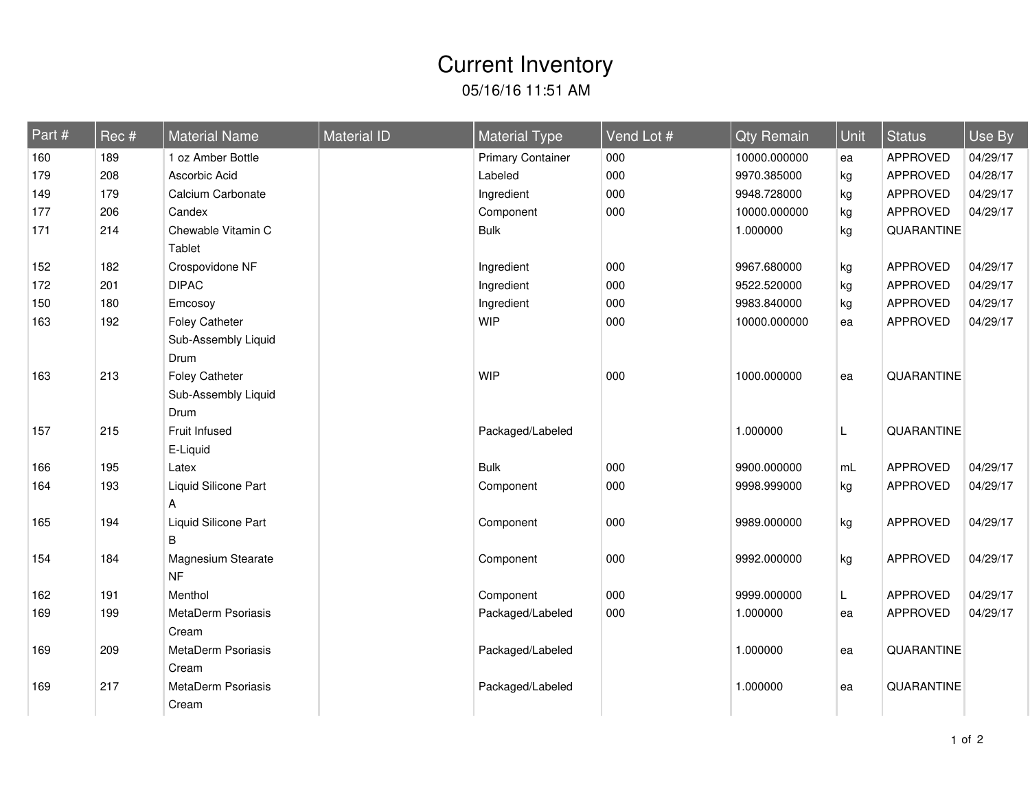## 05/16/16 11:51 AM Current Inventory

| Part # | Rec # | <b>Material Name</b> | <b>Material ID</b> | <b>Material Type</b>     | Vend Lot # | <b>Qty Remain</b> | Unit | <b>Status</b>   | Use By   |
|--------|-------|----------------------|--------------------|--------------------------|------------|-------------------|------|-----------------|----------|
| 160    | 189   | 1 oz Amber Bottle    |                    | <b>Primary Container</b> | 000        | 10000.000000      | ea   | <b>APPROVED</b> | 04/29/17 |
| 179    | 208   | Ascorbic Acid        |                    | Labeled                  | 000        | 9970.385000       | kg   | <b>APPROVED</b> | 04/28/17 |
| 149    | 179   | Calcium Carbonate    |                    | Ingredient               | 000        | 9948.728000       | kg   | APPROVED        | 04/29/17 |
| 177    | 206   | Candex               |                    | Component                | 000        | 10000.000000      | kg   | APPROVED        | 04/29/17 |
| 171    | 214   | Chewable Vitamin C   |                    | <b>Bulk</b>              |            | 1.000000          | kg   | QUARANTINE      |          |
|        |       | Tablet               |                    |                          |            |                   |      |                 |          |
| 152    | 182   | Crospovidone NF      |                    | Ingredient               | 000        | 9967.680000       | kg   | APPROVED        | 04/29/17 |
| 172    | 201   | <b>DIPAC</b>         |                    | Ingredient               | 000        | 9522.520000       | kg   | <b>APPROVED</b> | 04/29/17 |
| 150    | 180   | Emcosoy              |                    | Ingredient               | 000        | 9983.840000       | kg   | <b>APPROVED</b> | 04/29/17 |
| 163    | 192   | Foley Catheter       |                    | <b>WIP</b>               | 000        | 10000.000000      | ea   | <b>APPROVED</b> | 04/29/17 |
|        |       | Sub-Assembly Liquid  |                    |                          |            |                   |      |                 |          |
|        |       | Drum                 |                    |                          |            |                   |      |                 |          |
| 163    | 213   | Foley Catheter       |                    | <b>WIP</b>               | 000        | 1000.000000       | ea   | QUARANTINE      |          |
|        |       | Sub-Assembly Liquid  |                    |                          |            |                   |      |                 |          |
|        |       | Drum                 |                    |                          |            |                   |      |                 |          |
| 157    | 215   | Fruit Infused        |                    | Packaged/Labeled         |            | 1.000000          | L    | QUARANTINE      |          |
|        |       | E-Liquid             |                    |                          |            |                   |      |                 |          |
| 166    | 195   | Latex                |                    | <b>Bulk</b>              | 000        | 9900.000000       | mL   | <b>APPROVED</b> | 04/29/17 |
| 164    | 193   | Liquid Silicone Part |                    | Component                | 000        | 9998.999000       | kg   | APPROVED        | 04/29/17 |
|        |       | A                    |                    |                          |            |                   |      |                 |          |
| 165    | 194   | Liquid Silicone Part |                    | Component                | 000        | 9989.000000       | kg   | <b>APPROVED</b> | 04/29/17 |
|        |       | B                    |                    |                          |            |                   |      |                 |          |
| 154    | 184   | Magnesium Stearate   |                    | Component                | 000        | 9992.000000       | kg   | <b>APPROVED</b> | 04/29/17 |
|        |       | <b>NF</b>            |                    |                          |            |                   |      |                 |          |
| 162    | 191   | Menthol              |                    | Component                | 000        | 9999.000000       | L    | <b>APPROVED</b> | 04/29/17 |
| 169    | 199   | MetaDerm Psoriasis   |                    | Packaged/Labeled         | 000        | 1.000000          | ea   | <b>APPROVED</b> | 04/29/17 |
|        |       | Cream                |                    |                          |            |                   |      |                 |          |
| 169    | 209   | MetaDerm Psoriasis   |                    | Packaged/Labeled         |            | 1.000000          | ea   | QUARANTINE      |          |
|        |       | Cream                |                    |                          |            |                   |      |                 |          |
| 169    | 217   | MetaDerm Psoriasis   |                    | Packaged/Labeled         |            | 1.000000          | ea   | QUARANTINE      |          |
|        |       | Cream                |                    |                          |            |                   |      |                 |          |